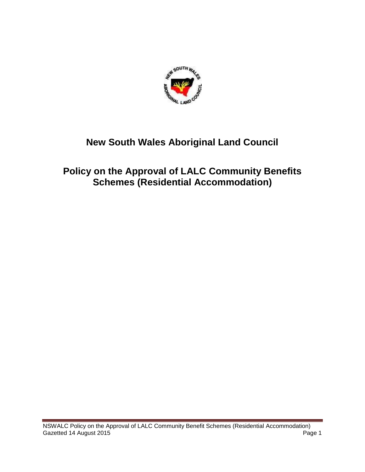

# **New South Wales Aboriginal Land Council**

# **Policy on the Approval of LALC Community Benefits Schemes (Residential Accommodation)**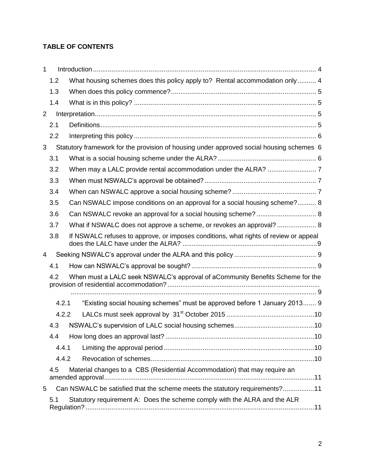## **TABLE OF CONTENTS**

| 1     |                                                                                               |                                                                                      |  |  |
|-------|-----------------------------------------------------------------------------------------------|--------------------------------------------------------------------------------------|--|--|
|       | 1.2                                                                                           | What housing schemes does this policy apply to? Rental accommodation only  4         |  |  |
|       | 1.3                                                                                           |                                                                                      |  |  |
|       | 1.4                                                                                           |                                                                                      |  |  |
| 2     |                                                                                               |                                                                                      |  |  |
|       | 2.1                                                                                           |                                                                                      |  |  |
|       | 2.2                                                                                           |                                                                                      |  |  |
|       | Statutory framework for the provision of housing under approved social housing schemes 6<br>3 |                                                                                      |  |  |
|       | 3.1                                                                                           |                                                                                      |  |  |
|       | 3.2                                                                                           |                                                                                      |  |  |
|       | 3.3                                                                                           |                                                                                      |  |  |
|       | 3.4                                                                                           |                                                                                      |  |  |
|       | 3.5                                                                                           | Can NSWALC impose conditions on an approval for a social housing scheme? 8           |  |  |
|       | 3.6                                                                                           | Can NSWALC revoke an approval for a social housing scheme?  8                        |  |  |
|       | 3.7                                                                                           | What if NSWALC does not approve a scheme, or revokes an approval?  8                 |  |  |
|       | 3.8                                                                                           | If NSWALC refuses to approve, or imposes conditions, what rights of review or appeal |  |  |
| 4     |                                                                                               |                                                                                      |  |  |
|       | 4.1                                                                                           |                                                                                      |  |  |
|       | 4.2                                                                                           | When must a LALC seek NSWALC's approval of aCommunity Benefits Scheme for the        |  |  |
|       |                                                                                               |                                                                                      |  |  |
| 4.2.1 |                                                                                               | "Existing social housing schemes" must be approved before 1 January 2013 9           |  |  |
|       | 4.2.2                                                                                         |                                                                                      |  |  |
|       | 4.3                                                                                           |                                                                                      |  |  |
|       | 4.4                                                                                           |                                                                                      |  |  |
|       | 4.4.1                                                                                         |                                                                                      |  |  |
|       | 4.4.2                                                                                         |                                                                                      |  |  |
|       | 4.5                                                                                           | Material changes to a CBS (Residential Accommodation) that may require an            |  |  |
| 5     |                                                                                               | Can NSWALC be satisfied that the scheme meets the statutory requirements?11          |  |  |
|       | 5.1                                                                                           | Statutory requirement A: Does the scheme comply with the ALRA and the ALR            |  |  |
|       |                                                                                               |                                                                                      |  |  |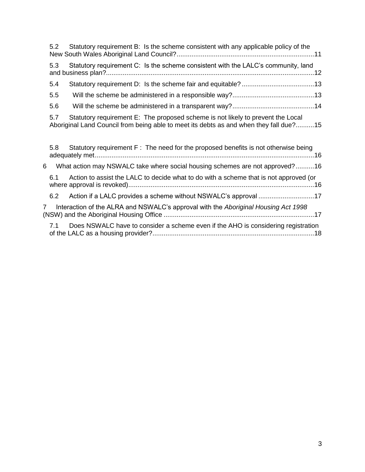|                | 5.2 | Statutory requirement B: Is the scheme consistent with any applicable policy of the                                                                                       |
|----------------|-----|---------------------------------------------------------------------------------------------------------------------------------------------------------------------------|
|                | 5.3 | Statutory requirement C: Is the scheme consistent with the LALC's community, land                                                                                         |
|                | 5.4 |                                                                                                                                                                           |
|                | 5.5 |                                                                                                                                                                           |
|                | 5.6 |                                                                                                                                                                           |
|                | 5.7 | Statutory requirement E: The proposed scheme is not likely to prevent the Local<br>Aboriginal Land Council from being able to meet its debts as and when they fall due?15 |
|                | 5.8 | Statutory requirement $F:$ The need for the proposed benefits is not otherwise being                                                                                      |
| 6              |     | What action may NSWALC take where social housing schemes are not approved?16                                                                                              |
|                | 6.1 | Action to assist the LALC to decide what to do with a scheme that is not approved (or                                                                                     |
|                | 6.2 | Action if a LALC provides a scheme without NSWALC's approval 17                                                                                                           |
| $\overline{7}$ |     | Interaction of the ALRA and NSWALC's approval with the Aboriginal Housing Act 1998                                                                                        |
|                | 7.1 | Does NSWALC have to consider a scheme even if the AHO is considering registration                                                                                         |

[of the LALC as a housing provider?.......................................................................................18](#page-17-0)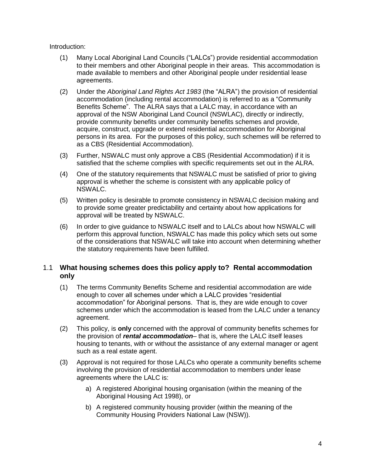Introduction:

- (1) Many Local Aboriginal Land Councils ("LALCs") provide residential accommodation to their members and other Aboriginal people in their areas. This accommodation is made available to members and other Aboriginal people under residential lease agreements.
- (2) Under the *Aboriginal Land Rights Act 1983* (the "ALRA") the provision of residential accommodation (including rental accommodation) is referred to as a "Community Benefits Scheme". The ALRA says that a LALC may, in accordance with an approval of the NSW Aboriginal Land Council (NSWLAC), directly or indirectly, provide community benefits under community benefits schemes and provide, acquire, construct, upgrade or extend residential accommodation for Aboriginal persons in its area. For the purposes of this policy, such schemes will be referred to as a CBS (Residential Accommodation).
- (3) Further, NSWALC must only approve a CBS (Residential Accommodation) if it is satisfied that the scheme complies with specific requirements set out in the ALRA.
- (4) One of the statutory requirements that NSWALC must be satisfied of prior to giving approval is whether the scheme is consistent with any applicable policy of NSWALC.
- (5) Written policy is desirable to promote consistency in NSWALC decision making and to provide some greater predictability and certainty about how applications for approval will be treated by NSWALC.
- (6) In order to give guidance to NSWALC itself and to LALCs about how NSWALC will perform this approval function, NSWALC has made this policy which sets out some of the considerations that NSWALC will take into account when determining whether the statutory requirements have been fulfilled.

## <span id="page-3-0"></span>1.1 **What housing schemes does this policy apply to? Rental accommodation only**

- (1) The terms Community Benefits Scheme and residential accommodation are wide enough to cover all schemes under which a LALC provides "residential accommodation" for Aboriginal persons. That is, they are wide enough to cover schemes under which the accommodation is leased from the LALC under a tenancy agreement.
- (2) This policy, is **only** concerned with the approval of community benefits schemes for the provision of *rental accommodation*– that is, where the LALC itself leases housing to tenants, with or without the assistance of any external manager or agent such as a real estate agent.
- (3) Approval is not required for those LALCs who operate a community benefits scheme involving the provision of residential accommodation to members under lease agreements where the LALC is:
	- a) A registered Aboriginal housing organisation (within the meaning of the Aboriginal Housing Act 1998), or
	- b) A registered community housing provider (within the meaning of the Community Housing Providers National Law (NSW)).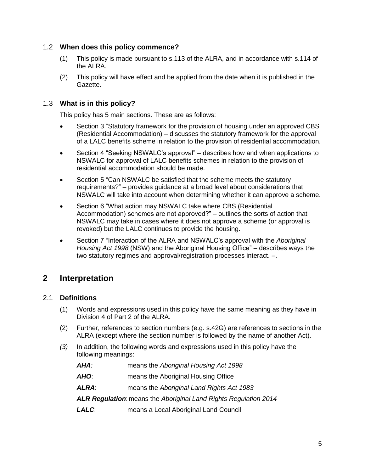## <span id="page-4-0"></span>1.2 **When does this policy commence?**

- (1) This policy is made pursuant to s.113 of the ALRA, and in accordance with s.114 of the ALRA.
- (2) This policy will have effect and be applied from the date when it is published in the Gazette.

## <span id="page-4-1"></span>1.3 **What is in this policy?**

This policy has 5 main sections. These are as follows:

- Section 3 "Statutory framework for the provision of housing under an approved CBS (Residential Accommodation) – discusses the statutory framework for the approval of a LALC benefits scheme in relation to the provision of residential accommodation.
- Section 4 "Seeking NSWALC's approval" describes how and when applications to NSWALC for approval of LALC benefits schemes in relation to the provision of residential accommodation should be made.
- Section 5 "Can NSWALC be satisfied that the scheme meets the statutory requirements?" – provides guidance at a broad level about considerations that NSWALC will take into account when determining whether it can approve a scheme.
- Section 6 "What action may NSWALC take where CBS (Residential Accommodation) schemes are not approved?" – outlines the sorts of action that NSWALC may take in cases where it does not approve a scheme (or approval is revoked) but the LALC continues to provide the housing.
- Section 7 "Interaction of the ALRA and NSWALC's approval with the *Aboriginal Housing Act 1998* (NSW) and the Aboriginal Housing Office" – describes ways the two statutory regimes and approval/registration processes interact. –.

## <span id="page-4-2"></span>**2 Interpretation**

## <span id="page-4-3"></span>2.1 **Definitions**

- (1) Words and expressions used in this policy have the same meaning as they have in Division 4 of Part 2 of the ALRA.
- (2) Further, references to section numbers (e.g. s.42G) are references to sections in the ALRA (except where the section number is followed by the name of another Act).
- *(3)* In addition, the following words and expressions used in this policy have the following meanings:
	- *AHA:* means the *Aboriginal Housing Act 1998*
	- *AHO*: means the Aboriginal Housing Office
	- *ALRA*: means the *Aboriginal Land Rights Act 1983*

*ALR Regulation*: means the *Aboriginal Land Rights Regulation 2014*

*LALC*: means a Local Aboriginal Land Council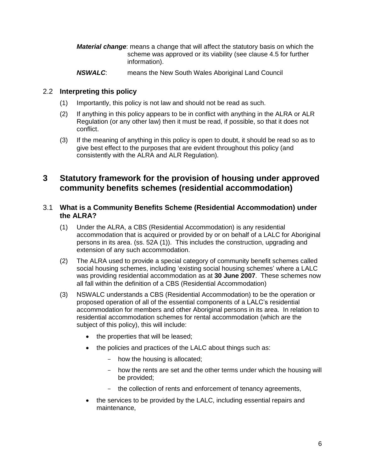- *Material change*: means a change that will affect the statutory basis on which the scheme was approved or its viability (see clause 4.5 for further information).
- *NSWALC*: means the New South Wales Aboriginal Land Council

## <span id="page-5-0"></span>2.2 **Interpreting this policy**

- (1) Importantly, this policy is not law and should not be read as such.
- (2) If anything in this policy appears to be in conflict with anything in the ALRA or ALR Regulation (or any other law) then it must be read, if possible, so that it does not conflict.
- (3) If the meaning of anything in this policy is open to doubt, it should be read so as to give best effect to the purposes that are evident throughout this policy (and consistently with the ALRA and ALR Regulation).

## <span id="page-5-1"></span>**3 Statutory framework for the provision of housing under approved community benefits schemes (residential accommodation)**

## <span id="page-5-2"></span>3.1 **What is a Community Benefits Scheme (Residential Accommodation) under the ALRA?**

- (1) Under the ALRA, a CBS (Residential Accommodation) is any residential accommodation that is acquired or provided by or on behalf of a LALC for Aboriginal persons in its area. (ss. 52A (1)). This includes the construction, upgrading and extension of any such accommodation.
- (2) The ALRA used to provide a special category of community benefit schemes called social housing schemes, including 'existing social housing schemes' where a LALC was providing residential accommodation as at **30 June 2007**. These schemes now all fall within the definition of a CBS (Residential Accommodation)
- (3) NSWALC understands a CBS (Residential Accommodation) to be the operation or proposed operation of all of the essential components of a LALC's residential accommodation for members and other Aboriginal persons in its area. In relation to residential accommodation schemes for rental accommodation (which are the subject of this policy), this will include:
	- the properties that will be leased;
	- the policies and practices of the LALC about things such as:
		- how the housing is allocated;
		- how the rents are set and the other terms under which the housing will be provided;
		- the collection of rents and enforcement of tenancy agreements,
	- the services to be provided by the LALC, including essential repairs and maintenance,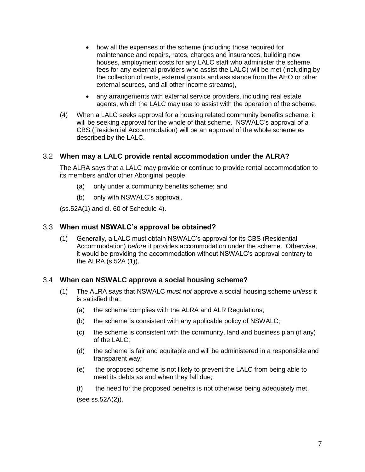- how all the expenses of the scheme (including those required for maintenance and repairs, rates, charges and insurances, building new houses, employment costs for any LALC staff who administer the scheme, fees for any external providers who assist the LALC) will be met (including by the collection of rents, external grants and assistance from the AHO or other external sources, and all other income streams),
- any arrangements with external service providers, including real estate agents, which the LALC may use to assist with the operation of the scheme.
- (4) When a LALC seeks approval for a housing related community benefits scheme, it will be seeking approval for the whole of that scheme. NSWALC's approval of a CBS (Residential Accommodation) will be an approval of the whole scheme as described by the LALC.

#### <span id="page-6-0"></span>3.2 **When may a LALC provide rental accommodation under the ALRA?**

The ALRA says that a LALC may provide or continue to provide rental accommodation to its members and/or other Aboriginal people:

- (a) only under a community benefits scheme; and
- (b) only with NSWALC's approval.

(ss.52A(1) and cl. 60 of Schedule 4).

#### <span id="page-6-1"></span>3.3 **When must NSWALC's approval be obtained?**

(1) Generally, a LALC must obtain NSWALC's approval for its CBS (Residential Accommodation) *before* it provides accommodation under the scheme. Otherwise, it would be providing the accommodation without NSWALC's approval contrary to the ALRA (s.52A (1)).

#### <span id="page-6-2"></span>3.4 **When can NSWALC approve a social housing scheme?**

- (1) The ALRA says that NSWALC *must not* approve a social housing scheme *unless* it is satisfied that:
	- (a) the scheme complies with the ALRA and ALR Regulations;
	- (b) the scheme is consistent with any applicable policy of NSWALC;
	- (c) the scheme is consistent with the community, land and business plan (if any) of the LALC;
	- (d) the scheme is fair and equitable and will be administered in a responsible and transparent way;
	- (e) the proposed scheme is not likely to prevent the LALC from being able to meet its debts as and when they fall due;
	- (f) the need for the proposed benefits is not otherwise being adequately met.

(see ss.52A(2)).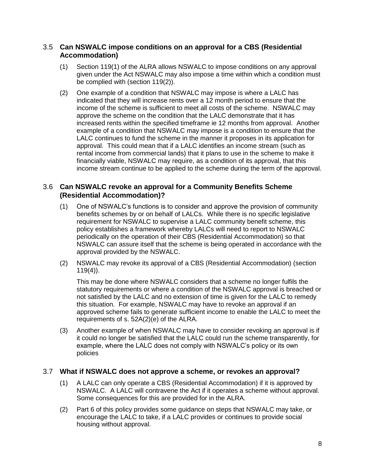### <span id="page-7-0"></span>3.5 **Can NSWALC impose conditions on an approval for a CBS (Residential Accommodation)**

- (1) Section 119(1) of the ALRA allows NSWALC to impose conditions on any approval given under the Act NSWALC may also impose a time within which a condition must be complied with (section 119(2)).
- (2) One example of a condition that NSWALC may impose is where a LALC has indicated that they will increase rents over a 12 month period to ensure that the income of the scheme is sufficient to meet all costs of the scheme. NSWALC may approve the scheme on the condition that the LALC demonstrate that it has increased rents within the specified timeframe ie 12 months from approval. Another example of a condition that NSWALC may impose is a condition to ensure that the LALC continues to fund the scheme in the manner it proposes in its application for approval. This could mean that if a LALC identifies an income stream (such as rental income from commercial lands) that it plans to use in the scheme to make it financially viable, NSWALC may require, as a condition of its approval, that this income stream continue to be applied to the scheme during the term of the approval.

## <span id="page-7-1"></span>3.6 **Can NSWALC revoke an approval for a Community Benefits Scheme (Residential Accommodation)?**

- (1) One of NSWALC's functions is to consider and approve the provision of community benefits schemes by or on behalf of LALCs. While there is no specific legislative requirement for NSWALC to supervise a LALC community benefit scheme, this policy establishes a framework whereby LALCs will need to report to NSWALC periodically on the operation of their CBS (Residential Accommodation) so that NSWALC can assure itself that the scheme is being operated in accordance with the approval provided by the NSWALC.
- (2) NSWALC may revoke its approval of a CBS (Residential Accommodation) (section  $119(4)$ ).

This may be done where NSWALC considers that a scheme no longer fulfils the statutory requirements or where a condition of the NSWALC approval is breached or not satisfied by the LALC and no extension of time is given for the LALC to remedy this situation. For example, NSWALC may have to revoke an approval if an approved scheme fails to generate sufficient income to enable the LALC to meet the requirements of s. 52A(2)(e) of the ALRA.

(3) Another example of when NSWALC may have to consider revoking an approval is if it could no longer be satisfied that the LALC could run the scheme transparently, for example, where the LALC does not comply with NSWALC's policy or its own policies

## <span id="page-7-2"></span>3.7 **What if NSWALC does not approve a scheme, or revokes an approval?**

- (1) A LALC can only operate a CBS (Residential Accommodation) if it is approved by NSWALC. A LALC will contravene the Act if it operates a scheme without approval. Some consequences for this are provided for in the ALRA.
- (2) Part 6 of this policy provides some guidance on steps that NSWALC may take, or encourage the LALC to take, if a LALC provides or continues to provide social housing without approval.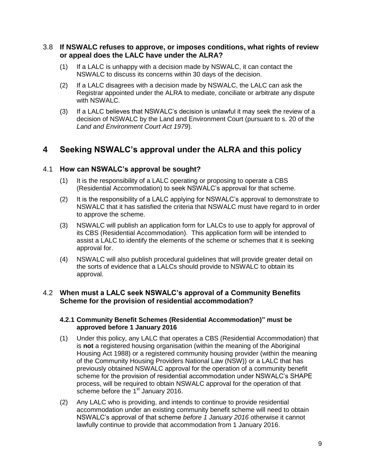#### <span id="page-8-0"></span>3.8 **If NSWALC refuses to approve, or imposes conditions, what rights of review or appeal does the LALC have under the ALRA?**

- (1) If a LALC is unhappy with a decision made by NSWALC, it can contact the NSWALC to discuss its concerns within 30 days of the decision.
- (2) If a LALC disagrees with a decision made by NSWALC, the LALC can ask the Registrar appointed under the ALRA to mediate, conciliate or arbitrate any dispute with NSWALC.
- (3) If a LALC believes that NSWALC's decision is unlawful it may seek the review of a decision of NSWALC by the Land and Environment Court (pursuant to s. 20 of the *Land and Environment Court Act 1979*).

## <span id="page-8-1"></span>**4 Seeking NSWALC's approval under the ALRA and this policy**

## <span id="page-8-2"></span>4.1 **How can NSWALC's approval be sought?**

- (1) It is the responsibility of a LALC operating or proposing to operate a CBS (Residential Accommodation) to seek NSWALC's approval for that scheme.
- (2) It is the responsibility of a LALC applying for NSWALC's approval to demonstrate to NSWALC that it has satisfied the criteria that NSWALC must have regard to in order to approve the scheme.
- (3) NSWALC will publish an application form for LALCs to use to apply for approval of its CBS (Residential Accommodation). This application form will be intended to assist a LALC to identify the elements of the scheme or schemes that it is seeking approval for.
- (4) NSWALC will also publish procedural guidelines that will provide greater detail on the sorts of evidence that a LALCs should provide to NSWALC to obtain its approval.

## <span id="page-8-4"></span><span id="page-8-3"></span>4.2 **When must a LALC seek NSWALC's approval of a Community Benefits Scheme for the provision of residential accommodation?**

#### **4.2.1 Community Benefit Schemes (Residential Accommodation)" must be approved before 1 January 2016**

- (1) Under this policy, any LALC that operates a CBS (Residential Accommodation) that is **not** a registered housing organisation (within the meaning of the Aboriginal Housing Act 1988) or a registered community housing provider (within the meaning of the Community Housing Providers National Law (NSW)) or a LALC that has previously obtained NSWALC approval for the operation of a community benefit scheme for the provision of residential accommodation under NSWALC's SHAPE process, will be required to obtain NSWALC approval for the operation of that scheme before the  $1<sup>st</sup>$  January 2016.
- (2) Any LALC who is providing, and intends to continue to provide residential accommodation under an existing community benefit scheme will need to obtain NSWALC's approval of that scheme *before 1 January 2016* otherwise it cannot lawfully continue to provide that accommodation from 1 January 2016.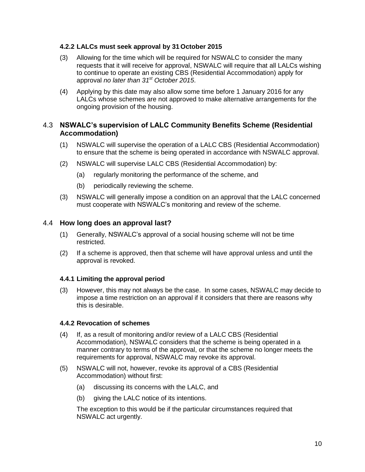#### <span id="page-9-0"></span>**4.2.2 LALCs must seek approval by 31 October 2015**

- (3) Allowing for the time which will be required for NSWALC to consider the many requests that it will receive for approval, NSWALC will require that all LALCs wishing to continue to operate an existing CBS (Residential Accommodation) apply for approval *no later than 31st October 2015*.
- (4) Applying by this date may also allow some time before 1 January 2016 for any LALCs whose schemes are not approved to make alternative arrangements for the ongoing provision of the housing.

## <span id="page-9-1"></span>4.3 **NSWALC's supervision of LALC Community Benefits Scheme (Residential Accommodation)**

- (1) NSWALC will supervise the operation of a LALC CBS (Residential Accommodation) to ensure that the scheme is being operated in accordance with NSWALC approval.
- (2) NSWALC will supervise LALC CBS (Residential Accommodation) by:
	- (a) regularly monitoring the performance of the scheme, and
	- (b) periodically reviewing the scheme.
- (3) NSWALC will generally impose a condition on an approval that the LALC concerned must cooperate with NSWALC's monitoring and review of the scheme.

#### <span id="page-9-2"></span>4.4 **How long does an approval last?**

- (1) Generally, NSWALC's approval of a social housing scheme will not be time restricted.
- (2) If a scheme is approved, then that scheme will have approval unless and until the approval is revoked.

#### <span id="page-9-3"></span>**4.4.1 Limiting the approval period**

(3) However, this may not always be the case. In some cases, NSWALC may decide to impose a time restriction on an approval if it considers that there are reasons why this is desirable.

#### <span id="page-9-4"></span>**4.4.2 Revocation of schemes**

- (4) If, as a result of monitoring and/or review of a LALC CBS (Residential Accommodation), NSWALC considers that the scheme is being operated in a manner contrary to terms of the approval, or that the scheme no longer meets the requirements for approval, NSWALC may revoke its approval.
- (5) NSWALC will not, however, revoke its approval of a CBS (Residential Accommodation) without first:
	- (a) discussing its concerns with the LALC, and
	- (b) giving the LALC notice of its intentions.

The exception to this would be if the particular circumstances required that NSWALC act urgently.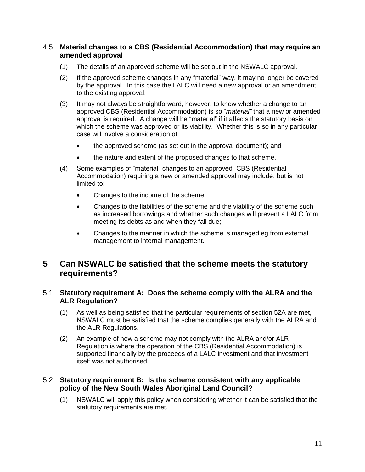### <span id="page-10-0"></span>4.5 **Material changes to a CBS (Residential Accommodation) that may require an amended approval**

- (1) The details of an approved scheme will be set out in the NSWALC approval.
- (2) If the approved scheme changes in any "material" way, it may no longer be covered by the approval. In this case the LALC will need a new approval or an amendment to the existing approval.
- (3) It may not always be straightforward, however, to know whether a change to an approved CBS (Residential Accommodation) is so "*material"* that a new or amended approval is required. A change will be "material" if it affects the statutory basis on which the scheme was approved or its viability. Whether this is so in any particular case will involve a consideration of:
	- the approved scheme (as set out in the approval document); and
	- the nature and extent of the proposed changes to that scheme.
- (4) Some examples of "material" changes to an approved CBS (Residential Accommodation) requiring a new or amended approval may include, but is not limited to:
	- Changes to the income of the scheme
	- Changes to the liabilities of the scheme and the viability of the scheme such as increased borrowings and whether such changes will prevent a LALC from meeting its debts as and when they fall due;
	- Changes to the manner in which the scheme is managed eg from external management to internal management.

## <span id="page-10-1"></span>**5 Can NSWALC be satisfied that the scheme meets the statutory requirements?**

#### <span id="page-10-2"></span>5.1 **Statutory requirement A: Does the scheme comply with the ALRA and the ALR Regulation?**

- (1) As well as being satisfied that the particular requirements of section 52A are met, NSWALC must be satisfied that the scheme complies generally with the ALRA and the ALR Regulations.
- (2) An example of how a scheme may not comply with the ALRA and/or ALR Regulation is where the operation of the CBS (Residential Accommodation) is supported financially by the proceeds of a LALC investment and that investment itself was not authorised.

#### <span id="page-10-3"></span>5.2 **Statutory requirement B: Is the scheme consistent with any applicable policy of the New South Wales Aboriginal Land Council?**

(1) NSWALC will apply this policy when considering whether it can be satisfied that the statutory requirements are met.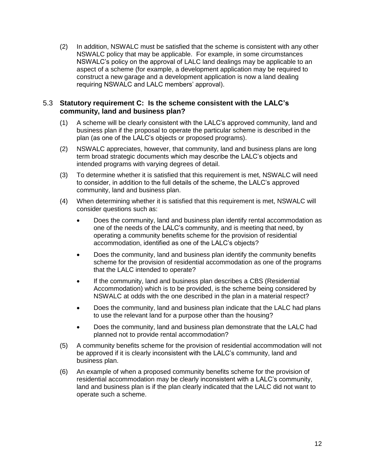(2) In addition, NSWALC must be satisfied that the scheme is consistent with any other NSWALC policy that may be applicable. For example, in some circumstances NSWALC's policy on the approval of LALC land dealings may be applicable to an aspect of a scheme (for example, a development application may be required to construct a new garage and a development application is now a land dealing requiring NSWALC and LALC members' approval).

## <span id="page-11-0"></span>5.3 **Statutory requirement C: Is the scheme consistent with the LALC's community, land and business plan?**

- (1) A scheme will be clearly consistent with the LALC's approved community, land and business plan if the proposal to operate the particular scheme is described in the plan (as one of the LALC's objects or proposed programs).
- (2) NSWALC appreciates, however, that community, land and business plans are long term broad strategic documents which may describe the LALC's objects and intended programs with varying degrees of detail.
- (3) To determine whether it is satisfied that this requirement is met, NSWALC will need to consider, in addition to the full details of the scheme, the LALC's approved community, land and business plan.
- (4) When determining whether it is satisfied that this requirement is met, NSWALC will consider questions such as:
	- Does the community, land and business plan identify rental accommodation as one of the needs of the LALC's community, and is meeting that need, by operating a community benefits scheme for the provision of residential accommodation, identified as one of the LALC's objects?
	- Does the community, land and business plan identify the community benefits scheme for the provision of residential accommodation as one of the programs that the LALC intended to operate?
	- If the community, land and business plan describes a CBS (Residential Accommodation) which is to be provided, is the scheme being considered by NSWALC at odds with the one described in the plan in a material respect?
	- Does the community, land and business plan indicate that the LALC had plans to use the relevant land for a purpose other than the housing?
	- Does the community, land and business plan demonstrate that the LALC had planned not to provide rental accommodation?
- (5) A community benefits scheme for the provision of residential accommodation will not be approved if it is clearly inconsistent with the LALC's community, land and business plan.
- (6) An example of when a proposed community benefits scheme for the provision of residential accommodation may be clearly inconsistent with a LALC's community, land and business plan is if the plan clearly indicated that the LALC did not want to operate such a scheme.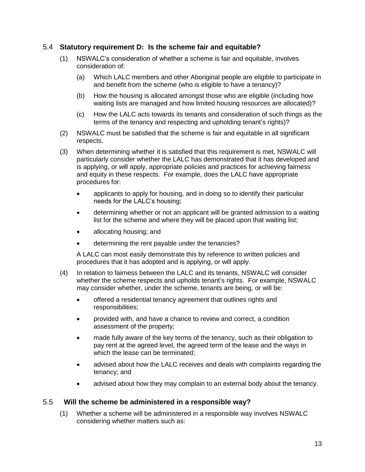### <span id="page-12-0"></span>5.4 **Statutory requirement D: Is the scheme fair and equitable?**

- (1) NSWALC's consideration of whether a scheme is fair and equitable, involves consideration of:
	- (a) Which LALC members and other Aboriginal people are eligible to participate in and benefit from the scheme (who is eligible to have a tenancy)?
	- (b) How the housing is allocated amongst those who are eligible (including how waiting lists are managed and how limited housing resources are allocated)?
	- (c) How the LALC acts towards its tenants and consideration of such things as the terms of the tenancy and respecting and upholding tenant's rights)?
- (2) NSWALC must be satisfied that the scheme is fair and equitable in all significant respects.
- (3) When determining whether it is satisfied that this requirement is met, NSWALC will particularly consider whether the LALC has demonstrated that it has developed and is applying, or will apply, appropriate policies and practices for achieving fairness and equity in these respects. For example, does the LALC have appropriate procedures for:
	- applicants to apply for housing, and in doing so to identify their particular needs for the LALC's housing;
	- determining whether or not an applicant will be granted admission to a waiting list for the scheme and where they will be placed upon that waiting list;
	- allocating housing; and
	- determining the rent payable under the tenancies?

A LALC can most easily demonstrate this by reference to written policies and procedures that it has adopted and is applying, or will apply.

- (4) In relation to fairness between the LALC and its tenants, NSWALC will consider whether the scheme respects and upholds tenant's rights. For example, NSWALC may consider whether, under the scheme, tenants are being, or will be:
	- offered a residential tenancy agreement that outlines rights and responsibilities;
	- provided with, and have a chance to review and correct, a condition assessment of the property;
	- made fully aware of the key terms of the tenancy, such as their obligation to pay rent at the agreed level, the agreed term of the lease and the ways in which the lease can be terminated;
	- advised about how the LALC receives and deals with complaints regarding the tenancy; and
	- advised about how they may complain to an external body about the tenancy.

#### <span id="page-12-1"></span>5.5 **Will the scheme be administered in a responsible way?**

(1) Whether a scheme will be administered in a responsible way involves NSWALC considering whether matters such as: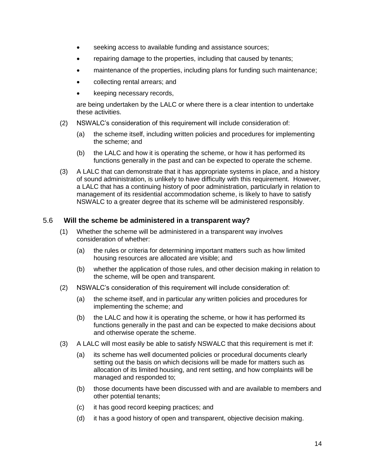- seeking access to available funding and assistance sources;
- repairing damage to the properties, including that caused by tenants;
- maintenance of the properties, including plans for funding such maintenance;
- collecting rental arrears; and
- keeping necessary records,

are being undertaken by the LALC or where there is a clear intention to undertake these activities.

- (2) NSWALC's consideration of this requirement will include consideration of:
	- (a) the scheme itself, including written policies and procedures for implementing the scheme; and
	- (b) the LALC and how it is operating the scheme, or how it has performed its functions generally in the past and can be expected to operate the scheme.
- (3) A LALC that can demonstrate that it has appropriate systems in place, and a history of sound administration, is unlikely to have difficulty with this requirement. However, a LALC that has a continuing history of poor administration, particularly in relation to management of its residential accommodation scheme, is likely to have to satisfy NSWALC to a greater degree that its scheme will be administered responsibly.

#### <span id="page-13-0"></span>5.6 **Will the scheme be administered in a transparent way?**

- (1) Whether the scheme will be administered in a transparent way involves consideration of whether:
	- (a) the rules or criteria for determining important matters such as how limited housing resources are allocated are visible; and
	- (b) whether the application of those rules, and other decision making in relation to the scheme, will be open and transparent.
- (2) NSWALC's consideration of this requirement will include consideration of:
	- (a) the scheme itself, and in particular any written policies and procedures for implementing the scheme; and
	- (b) the LALC and how it is operating the scheme, or how it has performed its functions generally in the past and can be expected to make decisions about and otherwise operate the scheme.
- (3) A LALC will most easily be able to satisfy NSWALC that this requirement is met if:
	- (a) its scheme has well documented policies or procedural documents clearly setting out the basis on which decisions will be made for matters such as allocation of its limited housing, and rent setting, and how complaints will be managed and responded to;
	- (b) those documents have been discussed with and are available to members and other potential tenants;
	- (c) it has good record keeping practices; and
	- (d) it has a good history of open and transparent, objective decision making.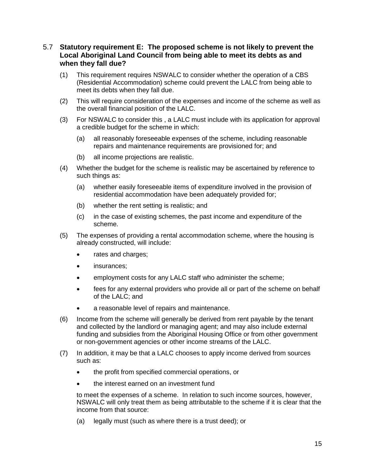### <span id="page-14-0"></span>5.7 **Statutory requirement E: The proposed scheme is not likely to prevent the Local Aboriginal Land Council from being able to meet its debts as and when they fall due?**

- (1) This requirement requires NSWALC to consider whether the operation of a CBS (Residential Accommodation) scheme could prevent the LALC from being able to meet its debts when they fall due.
- (2) This will require consideration of the expenses and income of the scheme as well as the overall financial position of the LALC.
- (3) For NSWALC to consider this , a LALC must include with its application for approval a credible budget for the scheme in which:
	- (a) all reasonably foreseeable expenses of the scheme, including reasonable repairs and maintenance requirements are provisioned for; and
	- (b) all income projections are realistic.
- (4) Whether the budget for the scheme is realistic may be ascertained by reference to such things as:
	- (a) whether easily foreseeable items of expenditure involved in the provision of residential accommodation have been adequately provided for;
	- (b) whether the rent setting is realistic; and
	- (c) in the case of existing schemes, the past income and expenditure of the scheme.
- (5) The expenses of providing a rental accommodation scheme, where the housing is already constructed, will include:
	- rates and charges;
	- insurances;
	- employment costs for any LALC staff who administer the scheme;
	- fees for any external providers who provide all or part of the scheme on behalf of the LALC; and
	- a reasonable level of repairs and maintenance.
- (6) Income from the scheme will generally be derived from rent payable by the tenant and collected by the landlord or managing agent; and may also include external funding and subsidies from the Aboriginal Housing Office or from other government or non-government agencies or other income streams of the LALC.
- (7) In addition, it may be that a LALC chooses to apply income derived from sources such as:
	- the profit from specified commercial operations, or
	- the interest earned on an investment fund

to meet the expenses of a scheme. In relation to such income sources, however, NSWALC will only treat them as being attributable to the scheme if it is clear that the income from that source:

(a) legally must (such as where there is a trust deed); or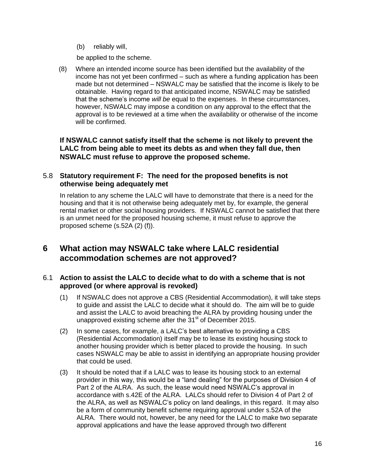(b) reliably will,

be applied to the scheme.

(8) Where an intended income source has been identified but the availability of the income has not yet been confirmed – such as where a funding application has been made but not determined – NSWALC may be satisfied that the income is likely to be obtainable. Having regard to that anticipated income, NSWALC may be satisfied that the scheme's income *will be* equal to the expenses. In these circumstances, however, NSWALC may impose a condition on any approval to the effect that the approval is to be reviewed at a time when the availability or otherwise of the income will be confirmed.

<span id="page-15-0"></span>**If NSWALC cannot satisfy itself that the scheme is not likely to prevent the LALC from being able to meet its debts as and when they fall due, then NSWALC must refuse to approve the proposed scheme.**

## 5.8 **Statutory requirement F: The need for the proposed benefits is not otherwise being adequately met**

In relation to any scheme the LALC will have to demonstrate that there is a need for the housing and that it is not otherwise being adequately met by, for example, the general rental market or other social housing providers. If NSWALC cannot be satisfied that there is an unmet need for the proposed housing scheme, it must refuse to approve the proposed scheme (s.52A (2) (f)).

## <span id="page-15-1"></span>**6 What action may NSWALC take where LALC residential accommodation schemes are not approved?**

## <span id="page-15-2"></span>6.1 **Action to assist the LALC to decide what to do with a scheme that is not approved (or where approval is revoked)**

- (1) If NSWALC does not approve a CBS (Residential Accommodation), it will take steps to guide and assist the LALC to decide what it should do. The aim will be to guide and assist the LALC to avoid breaching the ALRA by providing housing under the unapproved existing scheme after the 31<sup>st</sup> of December 2015.
- (2) In some cases, for example, a LALC's best alternative to providing a CBS (Residential Accommodation) itself may be to lease its existing housing stock to another housing provider which is better placed to provide the housing. In such cases NSWALC may be able to assist in identifying an appropriate housing provider that could be used.
- (3) It should be noted that if a LALC was to lease its housing stock to an external provider in this way, this would be a "land dealing" for the purposes of Division 4 of Part 2 of the ALRA. As such, the lease would need NSWALC's approval in accordance with s.42E of the ALRA. LALCs should refer to Division 4 of Part 2 of the ALRA, as well as NSWALC's policy on land dealings, in this regard. It may also be a form of community benefit scheme requiring approval under s.52A of the ALRA. There would not, however, be any need for the LALC to make two separate approval applications and have the lease approved through two different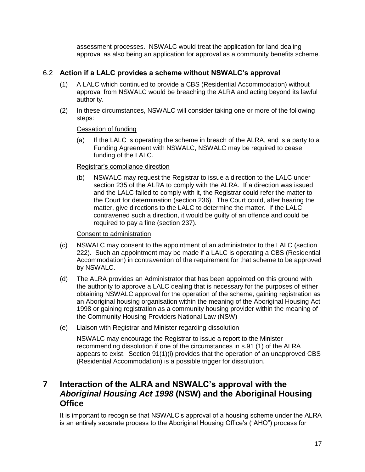assessment processes. NSWALC would treat the application for land dealing approval as also being an application for approval as a community benefits scheme.

## <span id="page-16-0"></span>6.2 **Action if a LALC provides a scheme without NSWALC's approval**

- (1) A LALC which continued to provide a CBS (Residential Accommodation) without approval from NSWALC would be breaching the ALRA and acting beyond its lawful authority.
- (2) In these circumstances, NSWALC will consider taking one or more of the following steps:

#### Cessation of funding

(a) If the LALC is operating the scheme in breach of the ALRA, and is a party to a Funding Agreement with NSWALC, NSWALC may be required to cease funding of the LALC.

#### Registrar's compliance direction

(b) NSWALC may request the Registrar to issue a direction to the LALC under section 235 of the ALRA to comply with the ALRA. If a direction was issued and the LALC failed to comply with it, the Registrar could refer the matter to the Court for determination (section 236). The Court could, after hearing the matter, give directions to the LALC to determine the matter. If the LALC contravened such a direction, it would be guilty of an offence and could be required to pay a fine (section 237).

### Consent to administration

- (c) NSWALC may consent to the appointment of an administrator to the LALC (section 222). Such an appointment may be made if a LALC is operating a CBS (Residential Accommodation) in contravention of the requirement for that scheme to be approved by NSWALC.
- (d) The ALRA provides an Administrator that has been appointed on this ground with the authority to approve a LALC dealing that is necessary for the purposes of either obtaining NSWALC approval for the operation of the scheme, gaining registration as an Aboriginal housing organisation within the meaning of the Aboriginal Housing Act 1998 or gaining registration as a community housing provider within the meaning of the Community Housing Providers National Law (NSW)
- (e) Liaison with Registrar and Minister regarding dissolution

NSWALC may encourage the Registrar to issue a report to the Minister recommending dissolution if one of the circumstances in s.91 (1) of the ALRA appears to exist. Section 91(1)(i) provides that the operation of an unapproved CBS (Residential Accommodation) is a possible trigger for dissolution.

## <span id="page-16-1"></span>**7 Interaction of the ALRA and NSWALC's approval with the**  *Aboriginal Housing Act 1998* **(NSW) and the Aboriginal Housing Office**

It is important to recognise that NSWALC's approval of a housing scheme under the ALRA is an entirely separate process to the Aboriginal Housing Office's ("AHO") process for